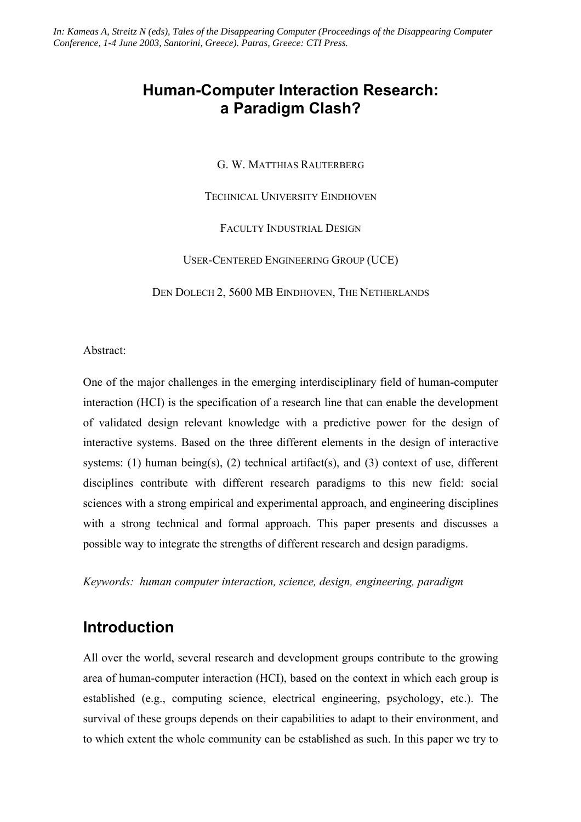*In: Kameas A, Streitz N (eds), Tales of the Disappearing Computer (Proceedings of the Disappearing Computer Conference, 1-4 June 2003, Santorini, Greece). Patras, Greece: CTI Press.* 

## **Human-Computer Interaction Research: a Paradigm Clash?**

G. W. MATTHIAS RAUTERBERG

TECHNICAL UNIVERSITY EINDHOVEN

FACULTY INDUSTRIAL DESIGN

USER-CENTERED ENGINEERING GROUP (UCE)

DEN DOLECH 2, 5600 MB EINDHOVEN, THE NETHERLANDS

Abstract:

One of the major challenges in the emerging interdisciplinary field of human-computer interaction (HCI) is the specification of a research line that can enable the development of validated design relevant knowledge with a predictive power for the design of interactive systems. Based on the three different elements in the design of interactive systems: (1) human being(s), (2) technical artifact(s), and (3) context of use, different disciplines contribute with different research paradigms to this new field: social sciences with a strong empirical and experimental approach, and engineering disciplines with a strong technical and formal approach. This paper presents and discusses a possible way to integrate the strengths of different research and design paradigms.

*Keywords: human computer interaction, science, design, engineering, paradigm* 

### **Introduction**

All over the world, several research and development groups contribute to the growing area of human-computer interaction (HCI), based on the context in which each group is established (e.g., computing science, electrical engineering, psychology, etc.). The survival of these groups depends on their capabilities to adapt to their environment, and to which extent the whole community can be established as such. In this paper we try to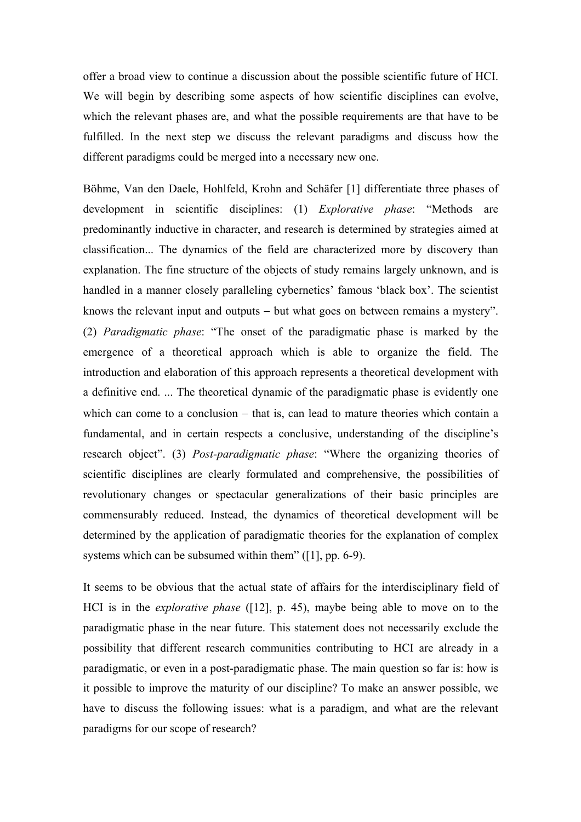offer a broad view to continue a discussion about the possible scientific future of HCI. We will begin by describing some aspects of how scientific disciplines can evolve, which the relevant phases are, and what the possible requirements are that have to be fulfilled. In the next step we discuss the relevant paradigms and discuss how the different paradigms could be merged into a necessary new one.

Böhme, Van den Daele, Hohlfeld, Krohn and Schäfer [1] differentiate three phases of development in scientific disciplines: (1) *Explorative phase*: "Methods are predominantly inductive in character, and research is determined by strategies aimed at classification... The dynamics of the field are characterized more by discovery than explanation. The fine structure of the objects of study remains largely unknown, and is handled in a manner closely paralleling cybernetics' famous 'black box'. The scientist knows the relevant input and outputs − but what goes on between remains a mystery". (2) *Paradigmatic phase*: "The onset of the paradigmatic phase is marked by the emergence of a theoretical approach which is able to organize the field. The introduction and elaboration of this approach represents a theoretical development with a definitive end. ... The theoretical dynamic of the paradigmatic phase is evidently one which can come to a conclusion – that is, can lead to mature theories which contain a fundamental, and in certain respects a conclusive, understanding of the discipline's research object". (3) *Post-paradigmatic phase*: "Where the organizing theories of scientific disciplines are clearly formulated and comprehensive, the possibilities of revolutionary changes or spectacular generalizations of their basic principles are commensurably reduced. Instead, the dynamics of theoretical development will be determined by the application of paradigmatic theories for the explanation of complex systems which can be subsumed within them" ([1], pp. 6-9).

It seems to be obvious that the actual state of affairs for the interdisciplinary field of HCI is in the *explorative phase* ([12], p. 45), maybe being able to move on to the paradigmatic phase in the near future. This statement does not necessarily exclude the possibility that different research communities contributing to HCI are already in a paradigmatic, or even in a post-paradigmatic phase. The main question so far is: how is it possible to improve the maturity of our discipline? To make an answer possible, we have to discuss the following issues: what is a paradigm, and what are the relevant paradigms for our scope of research?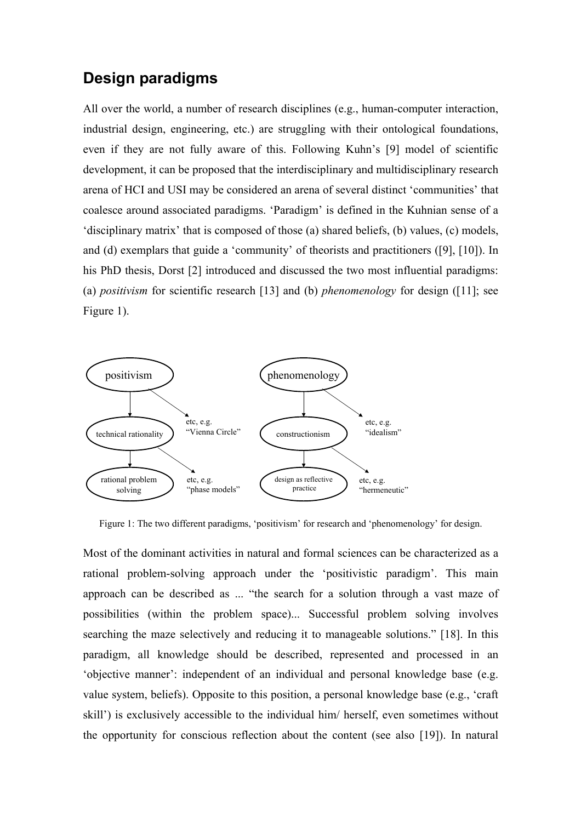## **Design paradigms**

All over the world, a number of research disciplines (e.g., human-computer interaction, industrial design, engineering, etc.) are struggling with their ontological foundations, even if they are not fully aware of this. Following Kuhn's [9] model of scientific development, it can be proposed that the interdisciplinary and multidisciplinary research arena of HCI and USI may be considered an arena of several distinct 'communities' that coalesce around associated paradigms. 'Paradigm' is defined in the Kuhnian sense of a 'disciplinary matrix' that is composed of those (a) shared beliefs, (b) values, (c) models, and (d) exemplars that guide a 'community' of theorists and practitioners ([9], [10]). In his PhD thesis, Dorst [2] introduced and discussed the two most influential paradigms: (a) *positivism* for scientific research [13] and (b) *phenomenology* for design ([11]; see Figure 1).



Figure 1: The two different paradigms, 'positivism' for research and 'phenomenology' for design.

Most of the dominant activities in natural and formal sciences can be characterized as a rational problem-solving approach under the 'positivistic paradigm'. This main approach can be described as ... "the search for a solution through a vast maze of possibilities (within the problem space)... Successful problem solving involves searching the maze selectively and reducing it to manageable solutions." [18]. In this paradigm, all knowledge should be described, represented and processed in an 'objective manner': independent of an individual and personal knowledge base (e.g. value system, beliefs). Opposite to this position, a personal knowledge base (e.g., 'craft skill') is exclusively accessible to the individual him/ herself, even sometimes without the opportunity for conscious reflection about the content (see also [19]). In natural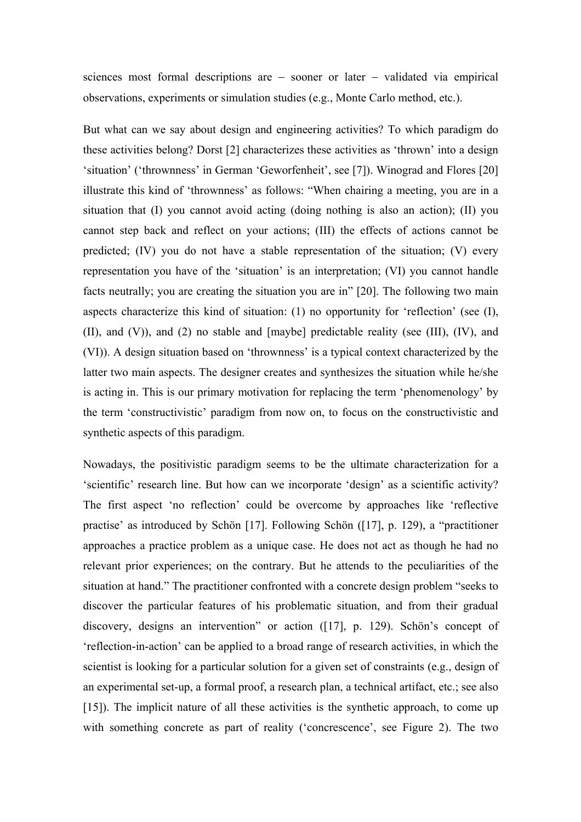sciences most formal descriptions are − sooner or later − validated via empirical observations, experiments or simulation studies (e.g., Monte Carlo method, etc.).

But what can we say about design and engineering activities? To which paradigm do these activities belong? Dorst [2] characterizes these activities as 'thrown' into a design 'situation' ('thrownness' in German 'Geworfenheit', see [7]). Winograd and Flores [20] illustrate this kind of 'thrownness' as follows: "When chairing a meeting, you are in a situation that (I) you cannot avoid acting (doing nothing is also an action); (II) you cannot step back and reflect on your actions; (III) the effects of actions cannot be predicted; (IV) you do not have a stable representation of the situation; (V) every representation you have of the 'situation' is an interpretation; (VI) you cannot handle facts neutrally; you are creating the situation you are in" [20]. The following two main aspects characterize this kind of situation: (1) no opportunity for 'reflection' (see (I), (II), and (V)), and (2) no stable and [maybe] predictable reality (see (III), (IV), and (VI)). A design situation based on 'thrownness' is a typical context characterized by the latter two main aspects. The designer creates and synthesizes the situation while he/she is acting in. This is our primary motivation for replacing the term 'phenomenology' by the term 'constructivistic' paradigm from now on, to focus on the constructivistic and synthetic aspects of this paradigm.

Nowadays, the positivistic paradigm seems to be the ultimate characterization for a 'scientific' research line. But how can we incorporate 'design' as a scientific activity? The first aspect 'no reflection' could be overcome by approaches like 'reflective practise' as introduced by Schön [17]. Following Schön ([17], p. 129), a "practitioner approaches a practice problem as a unique case. He does not act as though he had no relevant prior experiences; on the contrary. But he attends to the peculiarities of the situation at hand." The practitioner confronted with a concrete design problem "seeks to discover the particular features of his problematic situation, and from their gradual discovery, designs an intervention" or action ([17], p. 129). Schön's concept of 'reflection-in-action' can be applied to a broad range of research activities, in which the scientist is looking for a particular solution for a given set of constraints (e.g., design of an experimental set-up, a formal proof, a research plan, a technical artifact, etc.; see also [15]). The implicit nature of all these activities is the synthetic approach, to come up with something concrete as part of reality ('concrescence', see Figure 2). The two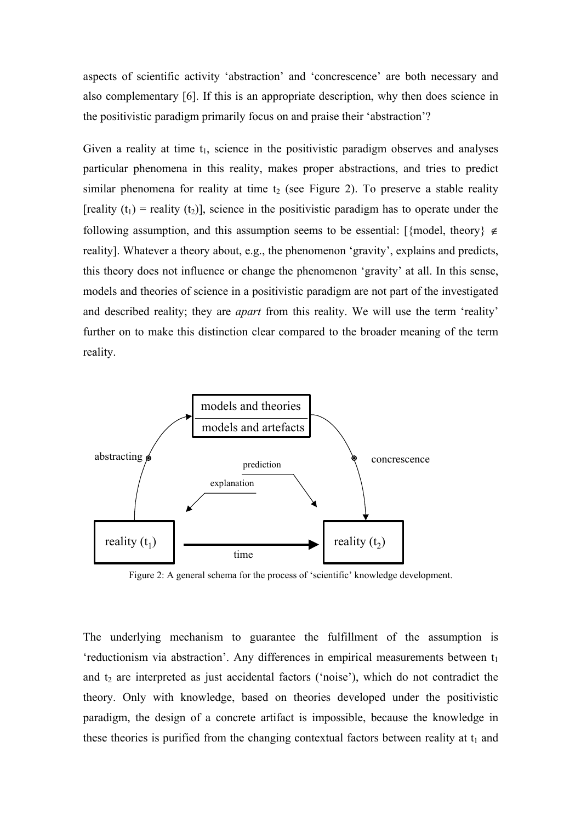aspects of scientific activity 'abstraction' and 'concrescence' are both necessary and also complementary [6]. If this is an appropriate description, why then does science in the positivistic paradigm primarily focus on and praise their 'abstraction'?

Given a reality at time  $t_1$ , science in the positivistic paradigm observes and analyses particular phenomena in this reality, makes proper abstractions, and tries to predict similar phenomena for reality at time  $t_2$  (see Figure 2). To preserve a stable reality [reality  $(t_1)$  = reality  $(t_2)$ ], science in the positivistic paradigm has to operate under the following assumption, and this assumption seems to be essential: [{model, theory}  $\notin$ reality]. Whatever a theory about, e.g., the phenomenon 'gravity', explains and predicts, this theory does not influence or change the phenomenon 'gravity' at all. In this sense, models and theories of science in a positivistic paradigm are not part of the investigated and described reality; they are *apart* from this reality. We will use the term 'reality' further on to make this distinction clear compared to the broader meaning of the term reality.



Figure 2: A general schema for the process of 'scientific' knowledge development.

The underlying mechanism to guarantee the fulfillment of the assumption is  $i$ reductionism via abstraction'. Any differences in empirical measurements between  $t_1$ and  $t_2$  are interpreted as just accidental factors ('noise'), which do not contradict the theory. Only with knowledge, based on theories developed under the positivistic paradigm, the design of a concrete artifact is impossible, because the knowledge in these theories is purified from the changing contextual factors between reality at  $t_1$  and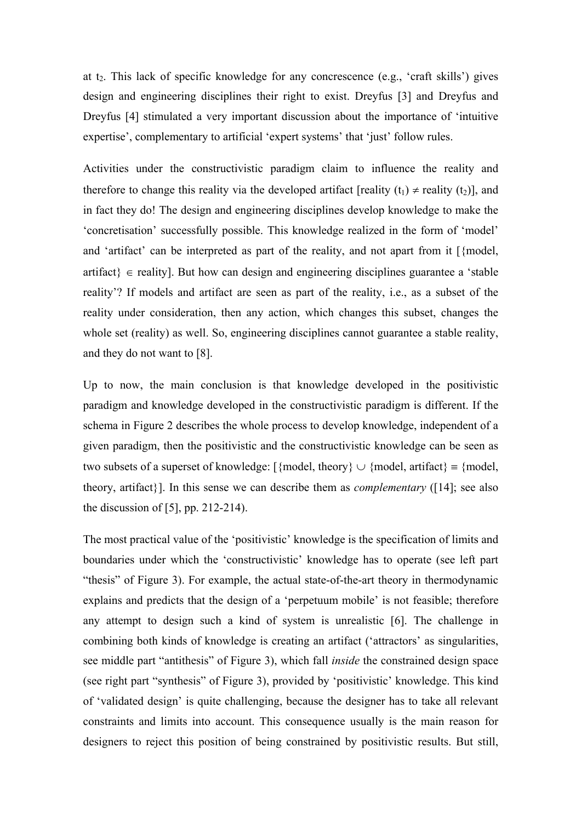at  $t_2$ . This lack of specific knowledge for any concrescence (e.g., 'craft skills') gives design and engineering disciplines their right to exist. Dreyfus [3] and Dreyfus and Dreyfus [4] stimulated a very important discussion about the importance of 'intuitive expertise', complementary to artificial 'expert systems' that 'just' follow rules.

Activities under the constructivistic paradigm claim to influence the reality and therefore to change this reality via the developed artifact [reality (t<sub>1</sub>)  $\neq$  reality (t<sub>2</sub>)], and in fact they do! The design and engineering disciplines develop knowledge to make the 'concretisation' successfully possible. This knowledge realized in the form of 'model' and 'artifact' can be interpreted as part of the reality, and not apart from it [{model,  $artifact$ }  $\in$  reality]. But how can design and engineering disciplines guarantee a 'stable' reality'? If models and artifact are seen as part of the reality, i.e., as a subset of the reality under consideration, then any action, which changes this subset, changes the whole set (reality) as well. So, engineering disciplines cannot guarantee a stable reality, and they do not want to [8].

Up to now, the main conclusion is that knowledge developed in the positivistic paradigm and knowledge developed in the constructivistic paradigm is different. If the schema in Figure 2 describes the whole process to develop knowledge, independent of a given paradigm, then the positivistic and the constructivistic knowledge can be seen as two subsets of a superset of knowledge:  $[\{model, theory\} \cup \{model, artifact\} = \{model,$ theory, artifact}]. In this sense we can describe them as *complementary* ([14]; see also the discussion of  $[5]$ , pp. 212-214).

The most practical value of the 'positivistic' knowledge is the specification of limits and boundaries under which the 'constructivistic' knowledge has to operate (see left part "thesis" of Figure 3). For example, the actual state-of-the-art theory in thermodynamic explains and predicts that the design of a 'perpetuum mobile' is not feasible; therefore any attempt to design such a kind of system is unrealistic [6]. The challenge in combining both kinds of knowledge is creating an artifact ('attractors' as singularities, see middle part "antithesis" of Figure 3), which fall *inside* the constrained design space (see right part "synthesis" of Figure 3), provided by 'positivistic' knowledge. This kind of 'validated design' is quite challenging, because the designer has to take all relevant constraints and limits into account. This consequence usually is the main reason for designers to reject this position of being constrained by positivistic results. But still,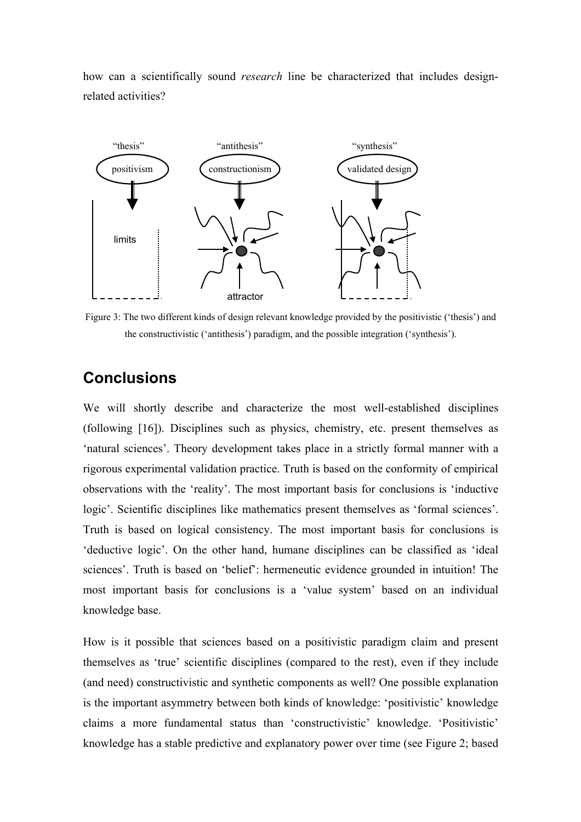how can a scientifically sound *research* line be characterized that includes designrelated activities?



Figure 3: The two different kinds of design relevant knowledge provided by the positivistic ('thesis') and the constructivistic ('antithesis') paradigm, and the possible integration ('synthesis').

# **Conclusions**

We will shortly describe and characterize the most well-established disciplines (following [16]). Disciplines such as physics, chemistry, etc. present themselves as 'natural sciences'. Theory development takes place in a strictly formal manner with a rigorous experimental validation practice. Truth is based on the conformity of empirical observations with the 'reality'. The most important basis for conclusions is 'inductive logic'. Scientific disciplines like mathematics present themselves as 'formal sciences'. Truth is based on logical consistency. The most important basis for conclusions is 'deductive logic'. On the other hand, humane disciplines can be classified as 'ideal sciences'. Truth is based on 'belief': hermeneutic evidence grounded in intuition! The most important basis for conclusions is a 'value system' based on an individual knowledge base.

How is it possible that sciences based on a positivistic paradigm claim and present themselves as 'true' scientific disciplines (compared to the rest), even if they include (and need) constructivistic and synthetic components as well? One possible explanation is the important asymmetry between both kinds of knowledge: 'positivistic' knowledge claims a more fundamental status than 'constructivistic' knowledge. 'Positivistic' knowledge has a stable predictive and explanatory power over time (see Figure 2; based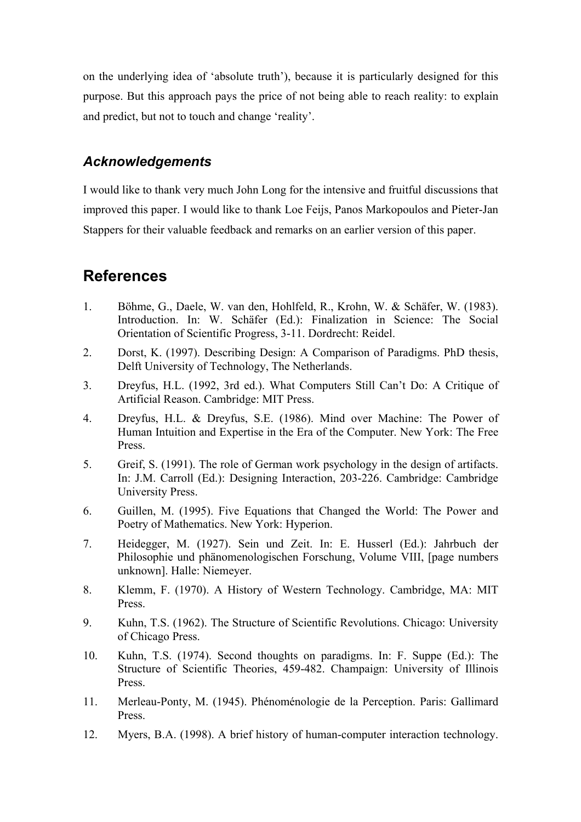on the underlying idea of 'absolute truth'), because it is particularly designed for this purpose. But this approach pays the price of not being able to reach reality: to explain and predict, but not to touch and change 'reality'.

#### *Acknowledgements*

I would like to thank very much John Long for the intensive and fruitful discussions that improved this paper. I would like to thank Loe Feijs, Panos Markopoulos and Pieter-Jan Stappers for their valuable feedback and remarks on an earlier version of this paper.

# **References**

- 1. Böhme, G., Daele, W. van den, Hohlfeld, R., Krohn, W. & Schäfer, W. (1983). Introduction. In: W. Schäfer (Ed.): Finalization in Science: The Social Orientation of Scientific Progress, 3-11. Dordrecht: Reidel.
- 2. Dorst, K. (1997). Describing Design: A Comparison of Paradigms. PhD thesis, Delft University of Technology, The Netherlands.
- 3. Dreyfus, H.L. (1992, 3rd ed.). What Computers Still Can't Do: A Critique of Artificial Reason. Cambridge: MIT Press.
- 4. Dreyfus, H.L. & Dreyfus, S.E. (1986). Mind over Machine: The Power of Human Intuition and Expertise in the Era of the Computer. New York: The Free Press.
- 5. Greif, S. (1991). The role of German work psychology in the design of artifacts. In: J.M. Carroll (Ed.): Designing Interaction, 203-226. Cambridge: Cambridge University Press.
- 6. Guillen, M. (1995). Five Equations that Changed the World: The Power and Poetry of Mathematics. New York: Hyperion.
- 7. Heidegger, M. (1927). Sein und Zeit. In: E. Husserl (Ed.): Jahrbuch der Philosophie und phänomenologischen Forschung, Volume VIII, [page numbers unknown]. Halle: Niemeyer.
- 8. Klemm, F. (1970). A History of Western Technology. Cambridge, MA: MIT Press.
- 9. Kuhn, T.S. (1962). The Structure of Scientific Revolutions. Chicago: University of Chicago Press.
- 10. Kuhn, T.S. (1974). Second thoughts on paradigms. In: F. Suppe (Ed.): The Structure of Scientific Theories, 459-482. Champaign: University of Illinois Press.
- 11. Merleau-Ponty, M. (1945). Phénoménologie de la Perception. Paris: Gallimard Press.
- 12. Myers, B.A. (1998). A brief history of human-computer interaction technology.